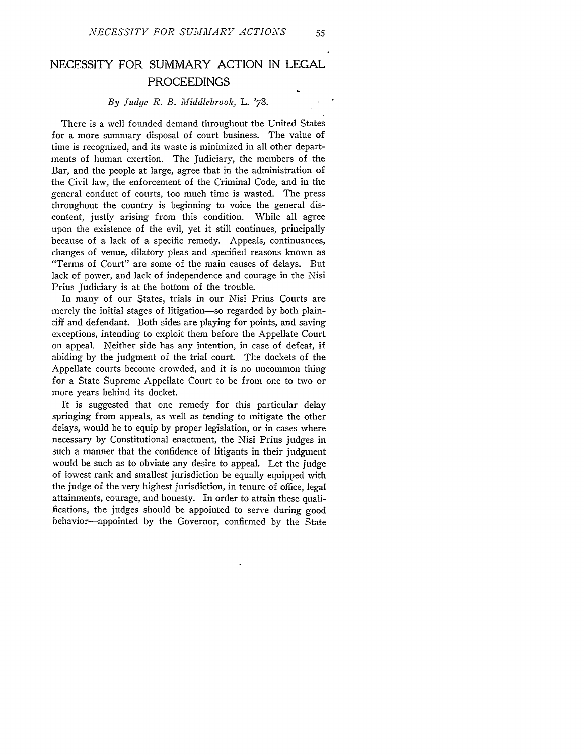## NECESSITY FOR SUMMARY ACTION IN LEGAL PROCEEDINGS

## *By Judge R. B. Middlebrook, L.* '78.

There is a well founded demand throughout the United States for a more summary disposal of court business. The value of time is recognized, and its waste is minimized in all other departments of human exertion. The Judiciary, the members of the Bar, and the people at large, agree that in the administration of the Civil law, the enforcement of the Criminal Code, and in the general conduct of courts, too much time is wasted. The press throughout the country is beginning to voice the general discontent, justly arising from this condition. While all agree upon the existence of the evil, yet it still continues, principally because of a lack of a specific remedy. Appeals, continuances, changes of venue, dilatory pleas and specified reasons known as "Terms of Court" are some of the main causes of delays. But lack of power, and lack of independence and courage in the Nisi Prius Judiciary is at the bottom of the trouble.

In many of our States, trials in our Nisi Prius Courts are merely the initial stages of litigation-so regarded by both plaintiff and defendant. Both sides are playing for points, and saving exceptions, intending to exploit them before the Appellate Court on appeal. Neither side has any intention, in case of defeat, if abiding by the judgment of the trial court. The dockets of the Appellate courts become crowded, and it is no uncommon thing for a State Supreme Appellate Court to be from one to two or more years behind its docket.

It is suggested that one remedy for this particular delay springing from appeals, as well as tending to mitigate the other delays, would be to equip by proper legislation, or in cases where necessary by Constitutional enactment, the Nisi Prius judges in such a manner that the confidence of litigants in their judgment would be such as to obviate any desire to appeal. Let the judge of lowest rank and smallest jurisdiction be equally equipped with the judge of the very highest jurisdiction, in tenure of office, legal attainments, courage, and honesty. In order to attain these qualifications, the judges should be appointed to serve during good behavior-appointed by the Governor, confirmed by the State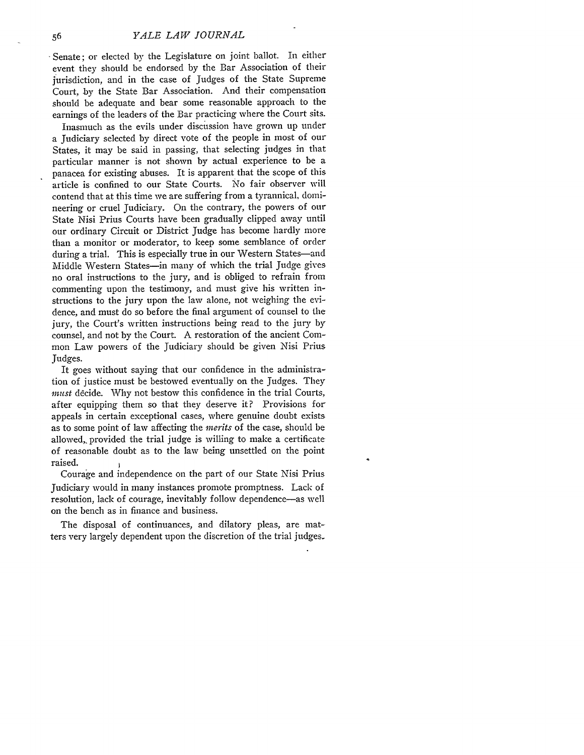Senate; or elected by the Legislature on joint ballot. In either event they should be endorsed by the Bar Association of their jurisdiction, and in the case of Judges of the State Supreme Court, by the State Bar Association. And their compensation should be adequate and bear some reasonable approach to the earnings of the leaders of the Bar practicing where the Court sits.

Inasmuch as the evils under discussion have grown up under a Judiciary selected by direct vote of the people in most of our States, it may be said in passing, that selecting judges in that particular manner is not shown by actual experience to be a panacea for existing abuses. It is apparent that the scope of this article is confined to our State Courts. No fair observer will contend that at this time we are suffering from a tyrannical, domineering or cruel Judiciary. On the contrary, the powers of our State Nisi Prius Courts have been gradually clipped away until our ordinary Circuit or District Judge has become hardly more than a monitor or moderator, to keep some semblance of order during a trial. This is especially true in our Western States-and Middle Western States-in many of which the trial Judge gives no oral instructions to the jury, and is obliged to refrain from commenting upon the testimony, and must give his written instructions to the jury upon the law alone, not weighing the evidence, and must do so before the final argument of counsel to the jury, the Court's written instructions being read to the jury by counsel, and not by the Court. A restoration of the ancient Common Law powers of the Judiciary should be given Nisi Prius Judges.

It goes without saying that our confidence in the administration of justice must be bestowed eventually on the Judges. They *must* decide. Why not bestow this confidence in the trial Courts, after equipping them so that they deserve it? Provisions for appeals in certain exceptional cases, where genuine doubt exists as to some point of law affecting the *merits* of the case, should be allowed, provided the trial judge is willing to make a certificate of reasonable doubt as to the law being unsettled on the point raised.

Courage and independence on the part of our State Nisi Prius Judiciary would in many instances promote promptness. Lack of resolution, lack of courage, inevitably follow dependence—as well on the bench as in finance and business.

The disposal of continuances, and dilatory pleas, are matters very largely dependent upon the discretion of the trial judges-